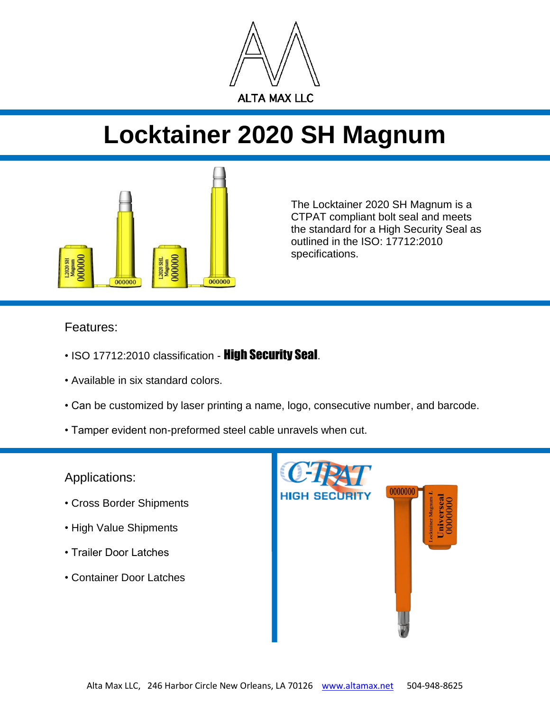

## **Locktainer 2020 SH Magnum**



The Locktainer 2020 SH Magnum is a CTPAT compliant bolt seal and meets the standard for a High Security Seal as outlined in the ISO: 17712:2010 specifications.

## Features:

- ISO 17712:2010 classification **High Security Seal**.
- Available in six standard colors.
- Can be customized by laser printing a name, logo, consecutive number, and barcode.
- Tamper evident non-preformed steel cable unravels when cut.

Applications:

- Cross Border Shipments
- High Value Shipments
- Trailer Door Latches
- Container Door Latches